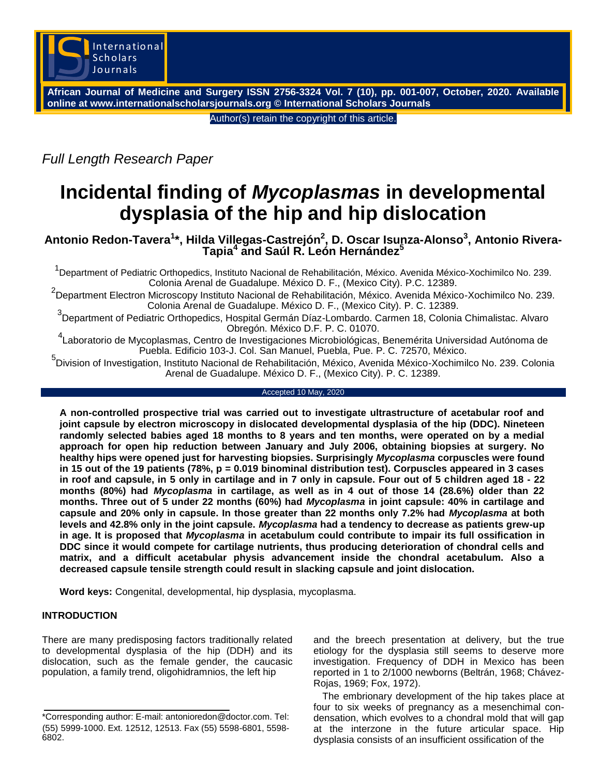

**African Journal of Medicine and Surgery ISSN 2756-3324 Vol. 7 (10), pp. 001-007, October, 2020. Available online at www.internationalscholarsjournals.org © International Scholars Journals**

Author(s) retain the copyright of this article.

*Full Length Research Paper*

# **Incidental finding of** *Mycoplasmas* **in developmental dysplasia of the hip and hip dislocation**

## **Antonio Redon-Tavera<sup>1</sup> \*, Hilda Villegas-Castrejón<sup>2</sup> , D. Oscar Isunza-Alonso<sup>3</sup> , Antonio Rivera-Tapia<sup>4</sup> and Saúl R. León Hernández<sup>5</sup>**

<sup>1</sup>Department of Pediatric Orthopedics, Instituto Nacional de Rehabilitación, México. Avenida México-Xochimilco No. 239. Colonia Arenal de Guadalupe. México D. F., (Mexico City). P.C. 12389.

2 Department Electron Microscopy Instituto Nacional de Rehabilitación, México. Avenida México-Xochimilco No. 239. Colonia Arenal de Guadalupe. México D. F., (Mexico City). P. C. 12389.

3<br>
<sup>3</sup> Department of Pediatric Orthopedics, Hospital Germán Díaz-Lombardo. Carmen 18, Colonia Chimalistac. Alvaro Obregón. México D.F. P. C. 01070.

4 Laboratorio de Mycoplasmas, Centro de Investigaciones Microbiológicas, Benemérita Universidad Autónoma de Puebla. Edificio 103-J. Col. San Manuel, Puebla, Pue. P. C. 72570, México.

5 Division of Investigation, Instituto Nacional de Rehabilitación, México, Avenida México-Xochimilco No. 239. Colonia Arenal de Guadalupe. México D. F., (Mexico City). P. C. 12389.

#### Accepted 10 May, 2020

**A non-controlled prospective trial was carried out to investigate ultrastructure of acetabular roof and joint capsule by electron microscopy in dislocated developmental dysplasia of the hip (DDC). Nineteen randomly selected babies aged 18 months to 8 years and ten months, were operated on by a medial approach for open hip reduction between January and July 2006, obtaining biopsies at surgery. No healthy hips were opened just for harvesting biopsies. Surprisingly** *Mycoplasma* **corpuscles were found in 15 out of the 19 patients (78%, p = 0.019 binominal distribution test). Corpuscles appeared in 3 cases in roof and capsule, in 5 only in cartilage and in 7 only in capsule. Four out of 5 children aged 18 - 22 months (80%) had** *Mycoplasma* **in cartilage, as well as in 4 out of those 14 (28.6%) older than 22 months. Three out of 5 under 22 months (60%) had** *Mycoplasma* **in joint capsule: 40% in cartilage and capsule and 20% only in capsule. In those greater than 22 months only 7.2% had** *Mycoplasma* **at both levels and 42.8% only in the joint capsule.** *Mycoplasma* **had a tendency to decrease as patients grew-up in age. It is proposed that** *Mycoplasma* **in acetabulum could contribute to impair its full ossification in DDC since it would compete for cartilage nutrients, thus producing deterioration of chondral cells and matrix, and a difficult acetabular physis advancement inside the chondral acetabulum. Also a decreased capsule tensile strength could result in slacking capsule and joint dislocation.**

**Word keys:** Congenital, developmental, hip dysplasia, mycoplasma.

## **INTRODUCTION**

There are many predisposing factors traditionally related to developmental dysplasia of the hip (DDH) and its dislocation, such as the female gender, the caucasic population, a family trend, oligohidramnios, the left hip

and the breech presentation at delivery, but the true etiology for the dysplasia still seems to deserve more investigation. Frequency of DDH in Mexico has been reported in 1 to 2/1000 newborns (Beltrán, 1968; Chávez-Rojas, 1969; Fox, 1972).

The embrionary development of the hip takes place at four to six weeks of pregnancy as a mesenchimal condensation, which evolves to a chondral mold that will gap at the interzone in the future articular space. Hip dysplasia consists of an insufficient ossification of the

<sup>\*</sup>Corresponding author: E-mail: antonioredon@doctor.com. Tel: (55) 5999-1000. Ext. 12512, 12513. Fax (55) 5598-6801, 5598- 6802.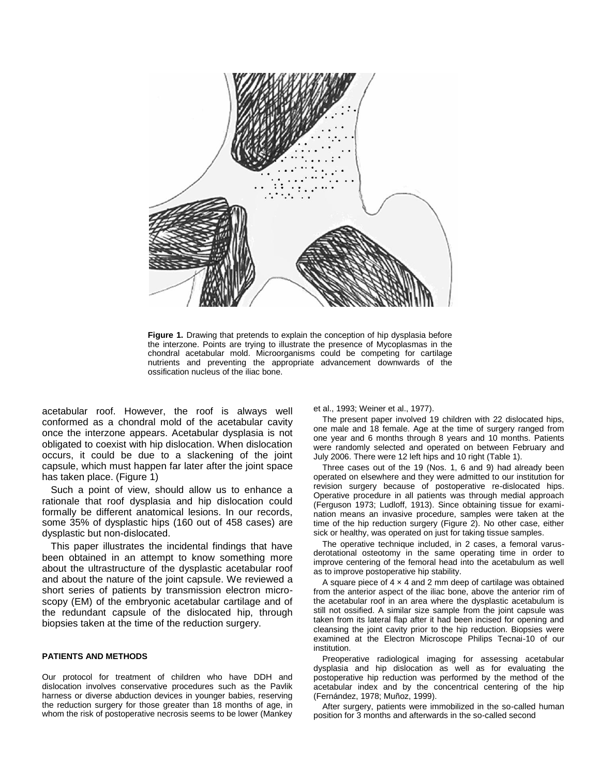

**Figure 1.** Drawing that pretends to explain the conception of hip dysplasia before the interzone. Points are trying to illustrate the presence of Mycoplasmas in the chondral acetabular mold. Microorganisms could be competing for cartilage nutrients and preventing the appropriate advancement downwards of the ossification nucleus of the iliac bone.

acetabular roof. However, the roof is always well conformed as a chondral mold of the acetabular cavity once the interzone appears. Acetabular dysplasia is not obligated to coexist with hip dislocation. When dislocation occurs, it could be due to a slackening of the joint capsule, which must happen far later after the joint space has taken place. (Figure 1)

Such a point of view, should allow us to enhance a rationale that roof dysplasia and hip dislocation could formally be different anatomical lesions. In our records, some 35% of dysplastic hips (160 out of 458 cases) are dysplastic but non-dislocated.

This paper illustrates the incidental findings that have been obtained in an attempt to know something more about the ultrastructure of the dysplastic acetabular roof and about the nature of the joint capsule. We reviewed a short series of patients by transmission electron microscopy (EM) of the embryonic acetabular cartilage and of the redundant capsule of the dislocated hip, through biopsies taken at the time of the reduction surgery.

#### **PATIENTS AND METHODS**

Our protocol for treatment of children who have DDH and dislocation involves conservative procedures such as the Pavlik harness or diverse abduction devices in younger babies, reserving the reduction surgery for those greater than 18 months of age, in whom the risk of postoperative necrosis seems to be lower (Mankey et al., 1993; Weiner et al., 1977).

The present paper involved 19 children with 22 dislocated hips, one male and 18 female. Age at the time of surgery ranged from one year and 6 months through 8 years and 10 months. Patients were randomly selected and operated on between February and July 2006. There were 12 left hips and 10 right (Table 1).

Three cases out of the 19 (Nos. 1, 6 and 9) had already been operated on elsewhere and they were admitted to our institution for revision surgery because of postoperative re-dislocated hips. Operative procedure in all patients was through medial approach (Ferguson 1973; Ludloff, 1913). Since obtaining tissue for examination means an invasive procedure, samples were taken at the time of the hip reduction surgery (Figure 2). No other case, either sick or healthy, was operated on just for taking tissue samples.

The operative technique included, in 2 cases, a femoral varusderotational osteotomy in the same operating time in order to improve centering of the femoral head into the acetabulum as well as to improve postoperative hip stability.

A square piece of  $4 \times 4$  and 2 mm deep of cartilage was obtained from the anterior aspect of the iliac bone, above the anterior rim of the acetabular roof in an area where the dysplastic acetabulum is still not ossified. A similar size sample from the joint capsule was taken from its lateral flap after it had been incised for opening and cleansing the joint cavity prior to the hip reduction. Biopsies were examined at the Electron Microscope Philips Tecnai-10 of our institution.

Preoperative radiological imaging for assessing acetabular dysplasia and hip dislocation as well as for evaluating the postoperative hip reduction was performed by the method of the acetabular index and by the concentrical centering of the hip (Fernández, 1978; Muñoz, 1999).

After surgery, patients were immobilized in the so-called human position for 3 months and afterwards in the so-called second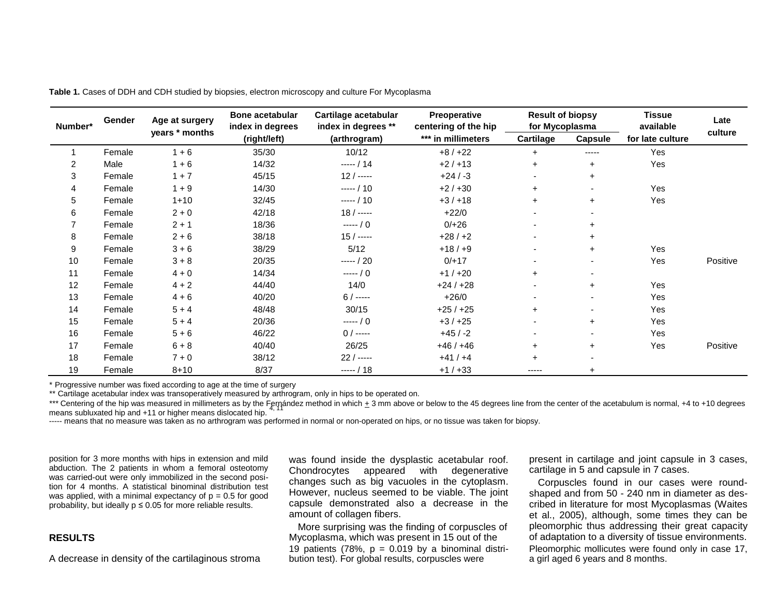| Number*        | Gender | Age at surgery<br>years * months | <b>Bone acetabular</b><br>index in degrees<br>(right/left) | Cartilage acetabular<br>index in degrees **<br>(arthrogram) | <b>Preoperative</b><br>centering of the hip<br>*** in millimeters | <b>Result of biopsy</b><br>for Mycoplasma |                          | <b>Tissue</b><br>available | Late     |
|----------------|--------|----------------------------------|------------------------------------------------------------|-------------------------------------------------------------|-------------------------------------------------------------------|-------------------------------------------|--------------------------|----------------------------|----------|
|                |        |                                  |                                                            |                                                             |                                                                   | Cartilage                                 | Capsule                  | for late culture           | culture  |
|                | Female | $1 + 6$                          | 35/30                                                      | 10/12                                                       | $+8/+22$                                                          | $+$                                       | -----                    | Yes                        |          |
| $\overline{2}$ | Male   | $1 + 6$                          | 14/32                                                      | $--- / 14$                                                  | $+2/+13$                                                          | $+$                                       | $\ddot{}$                | Yes                        |          |
| 3              | Female | $1 + 7$                          | 45/15                                                      | $12/---$                                                    | $+24/ -3$                                                         |                                           | $\ddot{}$                |                            |          |
| 4              | Female | $1 + 9$                          | 14/30                                                      | $--- / 10$                                                  | $+2/+30$                                                          | $+$                                       | $\overline{\phantom{0}}$ | Yes                        |          |
| 5              | Female | $1 + 10$                         | 32/45                                                      | $--- / 10$                                                  | $+3/+18$                                                          | $\ddot{}$                                 | $\pm$                    | Yes                        |          |
| 6              | Female | $2 + 0$                          | 42/18                                                      | $18/---$                                                    | $+22/0$                                                           | $\overline{\phantom{0}}$                  |                          |                            |          |
|                | Female | $2 + 1$                          | 18/36                                                      | $--- / 0$                                                   | $0/+26$                                                           | $\overline{\phantom{0}}$                  |                          |                            |          |
| 8              | Female | $2 + 6$                          | 38/18                                                      | $15/---$                                                    | $+28/+2$                                                          | $\overline{\phantom{a}}$                  | $\pm$                    |                            |          |
| 9              | Female | $3 + 6$                          | 38/29                                                      | 5/12                                                        | $+18/ +9$                                                         | $\overline{\phantom{a}}$                  | $\ddot{}$                | Yes                        |          |
| 10             | Female | $3 + 8$                          | 20/35                                                      | $--- / 20$                                                  | $0/+17$                                                           |                                           | $\overline{\phantom{0}}$ | Yes                        | Positive |
| 11             | Female | $4 + 0$                          | 14/34                                                      | $--- / 0$                                                   | $+1/+20$                                                          | $\ddot{}$                                 | $\blacksquare$           |                            |          |
| 12             | Female | $4 + 2$                          | 44/40                                                      | 14/0                                                        | $+24/+28$                                                         | $\overline{\phantom{0}}$                  | $+$                      | Yes                        |          |
| 13             | Female | $4 + 6$                          | 40/20                                                      | $6/$ -----                                                  | $+26/0$                                                           |                                           | $\overline{\phantom{0}}$ | Yes                        |          |
| 14             | Female | $5 + 4$                          | 48/48                                                      | 30/15                                                       | $+25/+25$                                                         | $+$                                       | ٠                        | Yes                        |          |
| 15             | Female | $5 + 4$                          | 20/36                                                      | $---/0$                                                     | $+3/+25$                                                          | $\overline{\phantom{a}}$                  | $+$                      | Yes                        |          |
| 16             | Female | $5 + 6$                          | 46/22                                                      | $0/$ -----                                                  | $+45/ -2$                                                         |                                           |                          | Yes                        |          |
| 17             | Female | $6 + 8$                          | 40/40                                                      | 26/25                                                       | $+46/+46$                                                         | $\ddot{}$                                 | $\pm$                    | Yes                        | Positive |
| 18             | Female | $7 + 0$                          | 38/12                                                      | $22/---$                                                    | $+41/+4$                                                          | $+$                                       |                          |                            |          |
| 19             | Female | $8 + 10$                         | 8/37                                                       | $---/18$                                                    | $+1/+33$                                                          | -----                                     |                          |                            |          |

**Table 1.** Cases of DDH and CDH studied by biopsies, electron microscopy and culture For Mycoplasma

\* Progressive number was fixed according to age at the time of surgery

\*\* Cartilage acetabular index was transoperatively measured by arthrogram, only in hips to be operated on.

\*\*\* Centering of the hip was measured in millimeters as by the Fernández method in which  $\pm$  3 mm above or below to the 45 degrees line from the center of the acetabulum is normal, +4 to +10 degrees means subluxated hip and  $+11$  or higher means dislocated hip.

----- means that no measure was taken as no arthrogram was performed in normal or non-operated on hips, or no tissue was taken for biopsy.

position for 3 more months with hips in extension and mild abduction. The 2 patients in whom a femoral osteotomy was carried-out were only immobilized in the second position for 4 months. A statistical binominal distribution test was applied, with a minimal expectancy of  $p = 0.5$  for good probability, but ideally  $p \le 0.05$  for more reliable results.

## **RESULTS**

A decrease in density of the cartilaginous stroma

was found inside the dysplastic acetabular roof. Chondrocytes appeared with degenerative changes such as big vacuoles in the cytoplasm. However, nucleus seemed to be viable. The joint capsule demonstrated also a decrease in the amount of collagen fibers.

More surprising was the finding of corpuscles of Mycoplasma, which was present in 15 out of the 19 patients (78%,  $p = 0.019$  by a binominal distribution test). For global results, corpuscles were

present in cartilage and joint capsule in 3 cases, cartilage in 5 and capsule in 7 cases.

Corpuscles found in our cases were roundshaped and from 50 - 240 nm in diameter as described in literature for most Mycoplasmas (Waites et al., 2005), although, some times they can be pleomorphic thus addressing their great capacity of adaptation to a diversity of tissue environments. Pleomorphic mollicutes were found only in case 17, a girl aged 6 years and 8 months.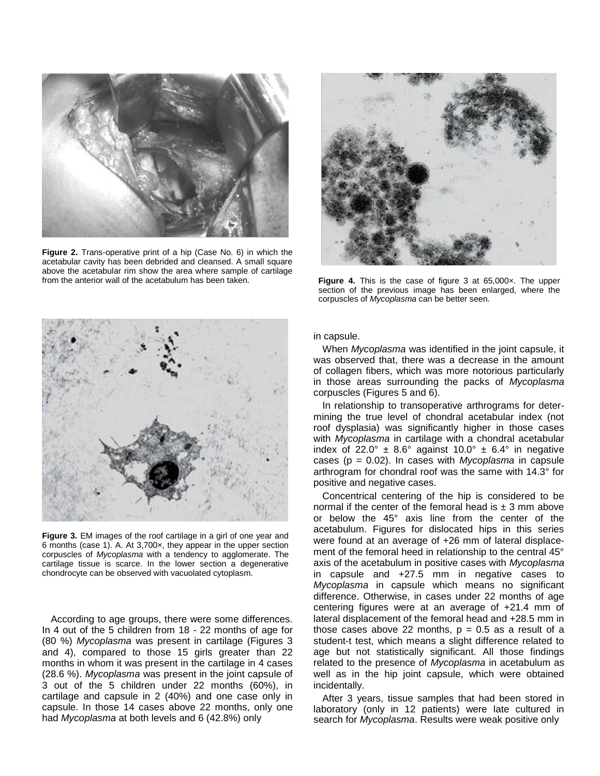

**Figure 2.** Trans-operative print of a hip (Case No. 6) in which the acetabular cavity has been debrided and cleansed. A small square above the acetabular rim show the area where sample of cartilage from the anterior wall of the acetabulum has been taken.



Figure 4. This is the case of figure 3 at 65,000x. The upper section of the previous image has been enlarged, where the corpuscles of *Mycoplasma* can be better seen.



**Figure 3.** EM images of the roof cartilage in a girl of one year and 6 months (case 1). A. At 3,700×, they appear in the upper section corpuscles of *Mycoplasma* with a tendency to agglomerate. The cartilage tissue is scarce. In the lower section a degenerative chondrocyte can be observed with vacuolated cytoplasm.

According to age groups, there were some differences. In 4 out of the 5 children from 18 - 22 months of age for (80 %) *Mycoplasma* was present in cartilage (Figures 3 and 4), compared to those 15 girls greater than 22 months in whom it was present in the cartilage in 4 cases (28.6 %). *Mycoplasma* was present in the joint capsule of 3 out of the 5 children under 22 months (60%), in cartilage and capsule in 2 (40%) and one case only in capsule. In those 14 cases above 22 months, only one had *Mycoplasma* at both levels and 6 (42.8%) only

in capsule.

When *Mycoplasma* was identified in the joint capsule, it was observed that, there was a decrease in the amount of collagen fibers, which was more notorious particularly in those areas surrounding the packs of *Mycoplasma* corpuscles (Figures 5 and 6).

In relationship to transoperative arthrograms for determining the true level of chondral acetabular index (not roof dysplasia) was significantly higher in those cases with *Mycoplasma* in cartilage with a chondral acetabular index of 22.0°  $\pm$  8.6° against 10.0°  $\pm$  6.4° in negative cases (p = 0.02). In cases with *Mycoplasma* in capsule arthrogram for chondral roof was the same with 14.3° for positive and negative cases.

Concentrical centering of the hip is considered to be normal if the center of the femoral head is  $\pm$  3 mm above or below the 45° axis line from the center of the acetabulum. Figures for dislocated hips in this series were found at an average of +26 mm of lateral displacement of the femoral heed in relationship to the central 45° axis of the acetabulum in positive cases with *Mycoplasma*  in capsule and +27.5 mm in negative cases to *Mycoplasma* in capsule which means no significant difference. Otherwise, in cases under 22 months of age centering figures were at an average of +21.4 mm of lateral displacement of the femoral head and +28.5 mm in those cases above 22 months,  $p = 0.5$  as a result of a student-t test, which means a slight difference related to age but not statistically significant. All those findings related to the presence of *Mycoplasma* in acetabulum as well as in the hip joint capsule, which were obtained incidentally.

After 3 years, tissue samples that had been stored in laboratory (only in 12 patients) were late cultured in search for *Mycoplasma*. Results were weak positive only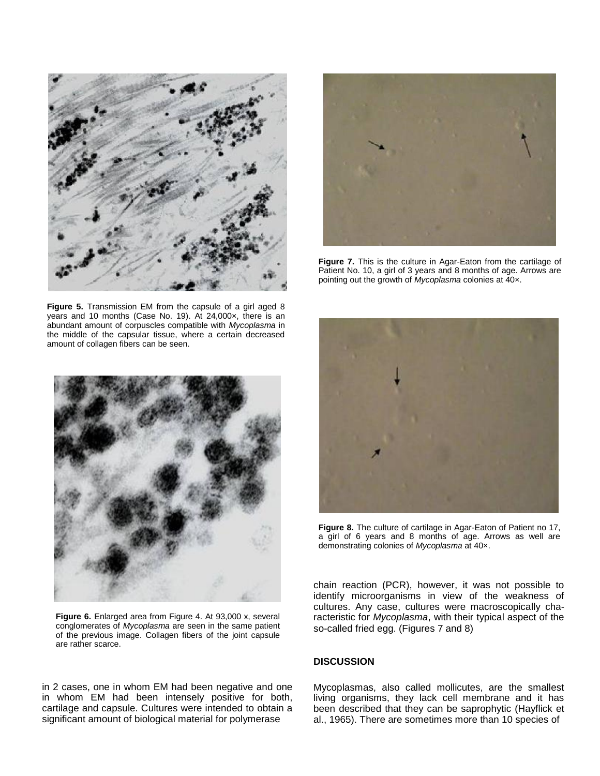

**Figure 5.** Transmission EM from the capsule of a girl aged 8 years and 10 months (Case No. 19). At 24,000×, there is an abundant amount of corpuscles compatible with *Mycoplasma* in the middle of the capsular tissue, where a certain decreased amount of collagen fibers can be seen.



**Figure 6.** Enlarged area from Figure 4. At 93,000 x, several conglomerates of *Mycoplasma* are seen in the same patient of the previous image. Collagen fibers of the joint capsule are rather scarce.

in 2 cases, one in whom EM had been negative and one in whom EM had been intensely positive for both, cartilage and capsule. Cultures were intended to obtain a significant amount of biological material for polymerase



**Figure 7.** This is the culture in Agar-Eaton from the cartilage of Patient No. 10, a girl of 3 years and 8 months of age. Arrows are pointing out the growth of *Mycoplasma* colonies at 40x.



**Figure 8.** The culture of cartilage in Agar-Eaton of Patient no 17, a girl of 6 years and 8 months of age. Arrows as well are demonstrating colonies of *Mycoplasma* at 40×.

chain reaction (PCR), however, it was not possible to identify microorganisms in view of the weakness of cultures. Any case, cultures were macroscopically characteristic for *Mycoplasma*, with their typical aspect of the so-called fried egg. (Figures 7 and 8)

## **DISCUSSION**

Mycoplasmas, also called mollicutes, are the smallest living organisms, they lack cell membrane and it has been described that they can be saprophytic (Hayflick et al., 1965). There are sometimes more than 10 species of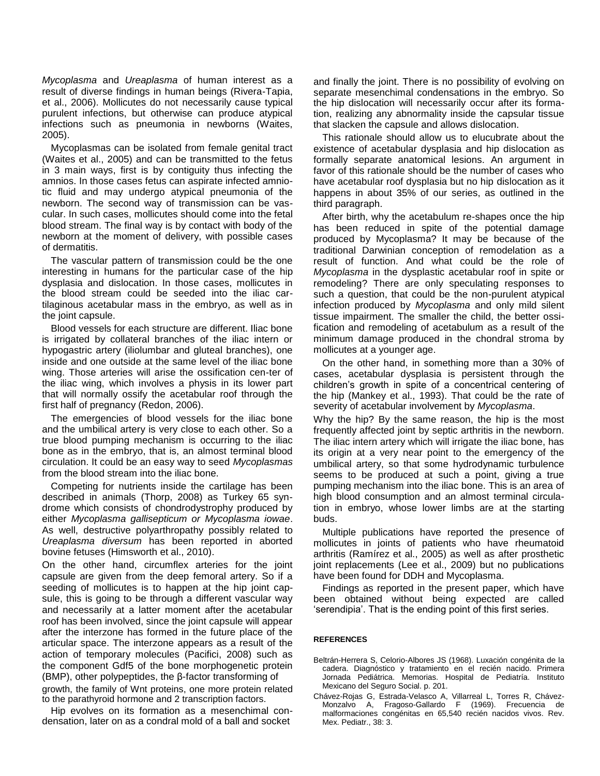*Mycoplasma* and *Ureaplasma* of human interest as a result of diverse findings in human beings (Rivera-Tapia, et al., 2006). Mollicutes do not necessarily cause typical purulent infections, but otherwise can produce atypical infections such as pneumonia in newborns (Waites, 2005).

Mycoplasmas can be isolated from female genital tract (Waites et al., 2005) and can be transmitted to the fetus in 3 main ways, first is by contiguity thus infecting the amnios. In those cases fetus can aspirate infected amniotic fluid and may undergo atypical pneumonia of the newborn. The second way of transmission can be vascular. In such cases, mollicutes should come into the fetal blood stream. The final way is by contact with body of the newborn at the moment of delivery, with possible cases of dermatitis.

The vascular pattern of transmission could be the one interesting in humans for the particular case of the hip dysplasia and dislocation. In those cases, mollicutes in the blood stream could be seeded into the iliac cartilaginous acetabular mass in the embryo, as well as in the joint capsule.

Blood vessels for each structure are different. Iliac bone is irrigated by collateral branches of the iliac intern or hypogastric artery (iliolumbar and gluteal branches), one inside and one outside at the same level of the iliac bone wing. Those arteries will arise the ossification cen-ter of the iliac wing, which involves a physis in its lower part that will normally ossify the acetabular roof through the first half of pregnancy (Redon, 2006).

The emergencies of blood vessels for the iliac bone and the umbilical artery is very close to each other. So a true blood pumping mechanism is occurring to the iliac bone as in the embryo, that is, an almost terminal blood circulation. It could be an easy way to seed *Mycoplasmas* from the blood stream into the iliac bone.

Competing for nutrients inside the cartilage has been described in animals (Thorp, 2008) as Turkey 65 syndrome which consists of chondrodystrophy produced by either *Mycoplasma gallisepticum or Mycoplasma iowae*. As well, destructive polyarthropathy possibly related to *Ureaplasma diversum* has been reported in aborted bovine fetuses (Himsworth et al., 2010).

On the other hand, circumflex arteries for the joint capsule are given from the deep femoral artery. So if a seeding of mollicutes is to happen at the hip joint capsule, this is going to be through a different vascular way and necessarily at a latter moment after the acetabular roof has been involved, since the joint capsule will appear after the interzone has formed in the future place of the articular space. The interzone appears as a result of the action of temporary molecules (Pacifici, 2008) such as the component Gdf5 of the bone morphogenetic protein (BMP), other polypeptides, the β-factor transforming of growth, the family of Wnt proteins, one more protein related to the parathyroid hormone and 2 transcription factors.

Hip evolves on its formation as a mesenchimal condensation, later on as a condral mold of a ball and socket

and finally the joint. There is no possibility of evolving on separate mesenchimal condensations in the embryo. So the hip dislocation will necessarily occur after its formation, realizing any abnormality inside the capsular tissue that slacken the capsule and allows dislocation.

This rationale should allow us to elucubrate about the existence of acetabular dysplasia and hip dislocation as formally separate anatomical lesions. An argument in favor of this rationale should be the number of cases who have acetabular roof dysplasia but no hip dislocation as it happens in about 35% of our series, as outlined in the third paragraph.

After birth, why the acetabulum re-shapes once the hip has been reduced in spite of the potential damage produced by Mycoplasma? It may be because of the traditional Darwinian conception of remodelation as a result of function. And what could be the role of *Mycoplasma* in the dysplastic acetabular roof in spite or remodeling? There are only speculating responses to such a question, that could be the non-purulent atypical infection produced by *Mycoplasma* and only mild silent tissue impairment. The smaller the child, the better ossification and remodeling of acetabulum as a result of the minimum damage produced in the chondral stroma by mollicutes at a younger age.

On the other hand, in something more than a 30% of cases, acetabular dysplasia is persistent through the children's growth in spite of a concentrical centering of the hip (Mankey et al., 1993). That could be the rate of severity of acetabular involvement by *Mycoplasma*.

Why the hip? By the same reason, the hip is the most frequently affected joint by septic arthritis in the newborn. The iliac intern artery which will irrigate the iliac bone, has its origin at a very near point to the emergency of the umbilical artery, so that some hydrodynamic turbulence seems to be produced at such a point, giving a true pumping mechanism into the iliac bone. This is an area of high blood consumption and an almost terminal circulation in embryo, whose lower limbs are at the starting buds.

Multiple publications have reported the presence of mollicutes in joints of patients who have rheumatoid arthritis (Ramírez et al., 2005) as well as after prosthetic joint replacements (Lee et al., 2009) but no publications have been found for DDH and Mycoplasma.

Findings as reported in the present paper, which have been obtained without being expected are called 'serendipia'. That is the ending point of this first series.

### **REFERENCES**

- Beltrán-Herrera S, Celorio-Albores JS (1968). Luxación congénita de la cadera. Diagnóstico y tratamiento en el recién nacido. Primera Jornada Pediátrica. Memorias. Hospital de Pediatría. Instituto Mexicano del Seguro Social. p. 201.
- Chávez-Rojas G, Estrada-Velasco A, Villarreal L, Torres R, Chávez-Monzalvo A, Fragoso-Gallardo F (1969). Frecuencia de malformaciones congénitas en 65,540 recién nacidos vivos. Rev. Mex. Pediatr., 38: 3.